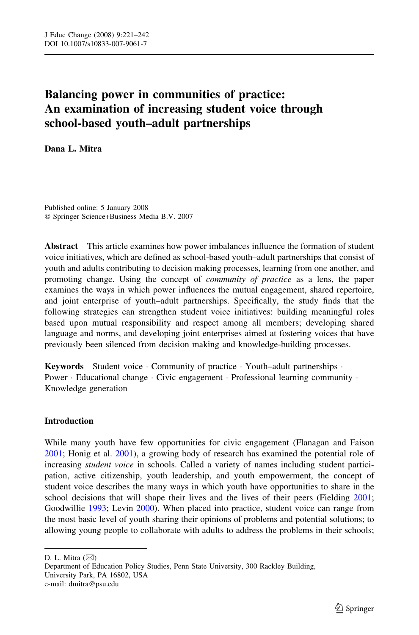# Balancing power in communities of practice: An examination of increasing student voice through school-based youth–adult partnerships

Dana L. Mitra

Published online: 5 January 2008 Springer Science+Business Media B.V. 2007

Abstract This article examines how power imbalances influence the formation of student voice initiatives, which are defined as school-based youth–adult partnerships that consist of youth and adults contributing to decision making processes, learning from one another, and promoting change. Using the concept of community of practice as a lens, the paper examines the ways in which power influences the mutual engagement, shared repertoire, and joint enterprise of youth–adult partnerships. Specifically, the study finds that the following strategies can strengthen student voice initiatives: building meaningful roles based upon mutual responsibility and respect among all members; developing shared language and norms, and developing joint enterprises aimed at fostering voices that have previously been silenced from decision making and knowledge-building processes.

Keywords Student voice  $\cdot$  Community of practice  $\cdot$  Youth–adult partnerships  $\cdot$ Power  $\cdot$  Educational change  $\cdot$  Civic engagement  $\cdot$  Professional learning community  $\cdot$ Knowledge generation

# Introduction

While many youth have few opportunities for civic engagement (Flanagan and Faison [2001;](#page-19-0) Honig et al. [2001\)](#page-20-0), a growing body of research has examined the potential role of increasing student voice in schools. Called a variety of names including student participation, active citizenship, youth leadership, and youth empowerment, the concept of student voice describes the many ways in which youth have opportunities to share in the school decisions that will shape their lives and the lives of their peers (Fielding [2001;](#page-19-0) Goodwillie [1993;](#page-20-0) Levin [2000\)](#page-20-0). When placed into practice, student voice can range from the most basic level of youth sharing their opinions of problems and potential solutions; to allowing young people to collaborate with adults to address the problems in their schools;

D. L. Mitra  $(\boxtimes)$ 

Department of Education Policy Studies, Penn State University, 300 Rackley Building, University Park, PA 16802, USA e-mail: dmitra@psu.edu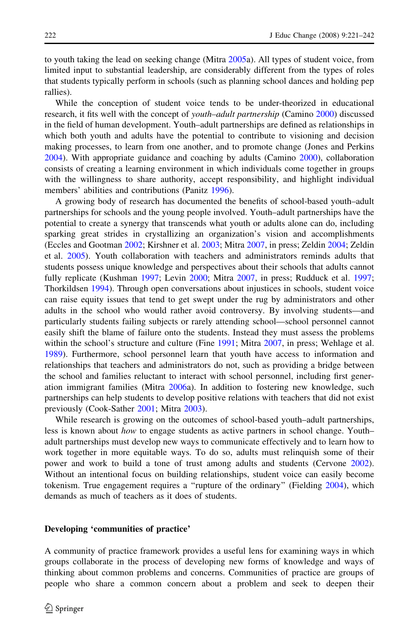to youth taking the lead on seeking change (Mitra [2005a](#page-20-0)). All types of student voice, from limited input to substantial leadership, are considerably different from the types of roles that students typically perform in schools (such as planning school dances and holding pep rallies).

While the conception of student voice tends to be under-theorized in educational research, it fits well with the concept of youth–adult partnership (Camino [2000\)](#page-19-0) discussed in the field of human development. Youth–adult partnerships are defined as relationships in which both youth and adults have the potential to contribute to visioning and decision making processes, to learn from one another, and to promote change (Jones and Perkins [2004\)](#page-20-0). With appropriate guidance and coaching by adults (Camino [2000](#page-19-0)), collaboration consists of creating a learning environment in which individuals come together in groups with the willingness to share authority, accept responsibility, and highlight individual members' abilities and contributions (Panitz [1996](#page-21-0)).

A growing body of research has documented the benefits of school-based youth–adult partnerships for schools and the young people involved. Youth–adult partnerships have the potential to create a synergy that transcends what youth or adults alone can do, including sparking great strides in crystallizing an organization's vision and accomplishments (Eccles and Gootman [2002;](#page-19-0) Kirshner et al. [2003;](#page-20-0) Mitra [2007,](#page-20-0) in press; Zeldin [2004;](#page-21-0) Zeldin et al. [2005](#page-21-0)). Youth collaboration with teachers and administrators reminds adults that students possess unique knowledge and perspectives about their schools that adults cannot fully replicate (Kushman [1997;](#page-20-0) Levin [2000;](#page-20-0) Mitra [2007,](#page-20-0) in press; Rudduck et al. [1997;](#page-21-0) Thorkildsen [1994](#page-21-0)). Through open conversations about injustices in schools, student voice can raise equity issues that tend to get swept under the rug by administrators and other adults in the school who would rather avoid controversy. By involving students—and particularly students failing subjects or rarely attending school—school personnel cannot easily shift the blame of failure onto the students. Instead they must assess the problems within the school's structure and culture (Fine [1991](#page-19-0); Mitra [2007,](#page-20-0) in press; Wehlage et al. [1989\)](#page-21-0). Furthermore, school personnel learn that youth have access to information and relationships that teachers and administrators do not, such as providing a bridge between the school and families reluctant to interact with school personnel, including first generation immigrant families (Mitra [2006](#page-20-0)a). In addition to fostering new knowledge, such partnerships can help students to develop positive relations with teachers that did not exist previously (Cook-Sather [2001](#page-19-0); Mitra [2003](#page-20-0)).

While research is growing on the outcomes of school-based youth–adult partnerships, less is known about *how* to engage students as active partners in school change. Youth– adult partnerships must develop new ways to communicate effectively and to learn how to work together in more equitable ways. To do so, adults must relinquish some of their power and work to build a tone of trust among adults and students (Cervone [2002](#page-19-0)). Without an intentional focus on building relationships, student voice can easily become tokenism. True engagement requires a ''rupture of the ordinary'' (Fielding [2004](#page-19-0)), which demands as much of teachers as it does of students.

### Developing 'communities of practice'

A community of practice framework provides a useful lens for examining ways in which groups collaborate in the process of developing new forms of knowledge and ways of thinking about common problems and concerns. Communities of practice are groups of people who share a common concern about a problem and seek to deepen their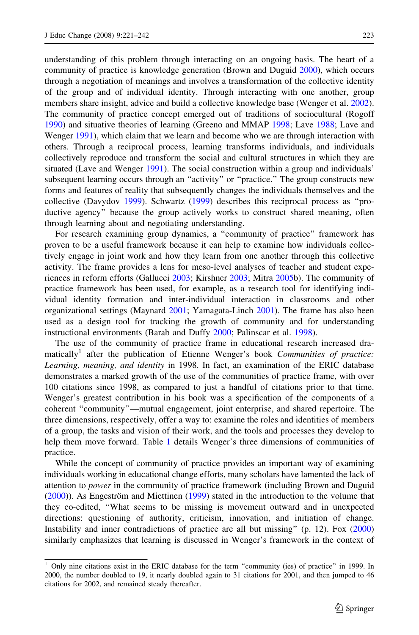understanding of this problem through interacting on an ongoing basis. The heart of a community of practice is knowledge generation (Brown and Duguid [2000](#page-19-0)), which occurs through a negotiation of meanings and involves a transformation of the collective identity of the group and of individual identity. Through interacting with one another, group members share insight, advice and build a collective knowledge base (Wenger et al. [2002](#page-21-0)). The community of practice concept emerged out of traditions of sociocultural (Rogoff [1990\)](#page-21-0) and situative theories of learning (Greeno and MMAP [1998](#page-20-0); Lave [1988](#page-20-0); Lave and Wenger [1991](#page-20-0)), which claim that we learn and become who we are through interaction with others. Through a reciprocal process, learning transforms individuals, and individuals collectively reproduce and transform the social and cultural structures in which they are situated (Lave and Wenger [1991](#page-20-0)). The social construction within a group and individuals' subsequent learning occurs through an "activity" or "practice." The group constructs new forms and features of reality that subsequently changes the individuals themselves and the collective (Davydov [1999\)](#page-19-0). Schwartz [\(1999](#page-21-0)) describes this reciprocal process as ''productive agency'' because the group actively works to construct shared meaning, often through learning about and negotiating understanding.

For research examining group dynamics, a "community of practice" framework has proven to be a useful framework because it can help to examine how individuals collectively engage in joint work and how they learn from one another through this collective activity. The frame provides a lens for meso-level analyses of teacher and student experiences in reform efforts (Gallucci [2003;](#page-19-0) Kirshner [2003;](#page-20-0) Mitra [2005](#page-20-0)b). The community of practice framework has been used, for example, as a research tool for identifying individual identity formation and inter-individual interaction in classrooms and other organizational settings (Maynard [2001](#page-20-0); Yamagata-Linch [2001](#page-21-0)). The frame has also been used as a design tool for tracking the growth of community and for understanding instructional environments (Barab and Duffy [2000;](#page-19-0) Palinscar et al. [1998\)](#page-21-0).

The use of the community of practice frame in educational research increased dramatically<sup>1</sup> after the publication of Etienne Wenger's book *Communities of practice:* Learning, meaning, and identity in 1998. In fact, an examination of the ERIC database demonstrates a marked growth of the use of the communities of practice frame, with over 100 citations since 1998, as compared to just a handful of citations prior to that time. Wenger's greatest contribution in his book was a specification of the components of a coherent ''community''—mutual engagement, joint enterprise, and shared repertoire. The three dimensions, respectively, offer a way to: examine the roles and identities of members of a group, the tasks and vision of their work, and the tools and processes they develop to help them move forward. Table [1](#page-3-0) details Wenger's three dimensions of communities of practice.

While the concept of community of practice provides an important way of examining individuals working in educational change efforts, many scholars have lamented the lack of attention to power in the community of practice framework (including Brown and Duguid  $(2000)$  $(2000)$ ). As Engeström and Miettinen  $(1999)$  $(1999)$  stated in the introduction to the volume that they co-edited, ''What seems to be missing is movement outward and in unexpected directions: questioning of authority, criticism, innovation, and initiation of change. Instability and inner contradictions of practice are all but missing'' (p. 12). Fox ([2000](#page-19-0)) similarly emphasizes that learning is discussed in Wenger's framework in the context of

 $1$  Only nine citations exist in the ERIC database for the term "community (ies) of practice" in 1999. In 2000, the number doubled to 19, it nearly doubled again to 31 citations for 2001, and then jumped to 46 citations for 2002, and remained steady thereafter.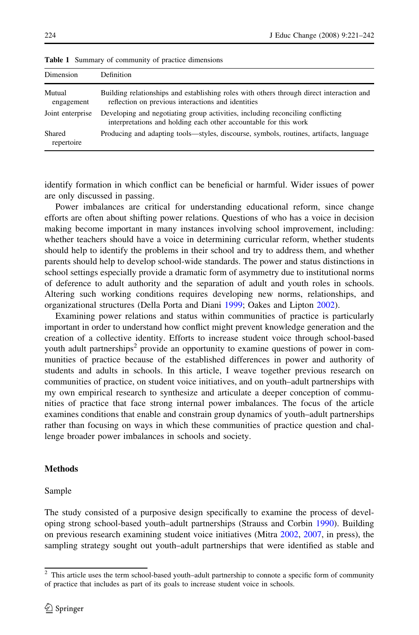| Dimension            | Definition                                                                                                                                         |
|----------------------|----------------------------------------------------------------------------------------------------------------------------------------------------|
| Mutual<br>engagement | Building relationships and establishing roles with others through direct interaction and<br>reflection on previous interactions and identities     |
| Joint enterprise     | Developing and negotiating group activities, including reconciling conflicting<br>interpretations and holding each other accountable for this work |
| Shared<br>repertoire | Producing and adapting tools—styles, discourse, symbols, routines, artifacts, language                                                             |

<span id="page-3-0"></span>Table 1 Summary of community of practice dimensions

identify formation in which conflict can be beneficial or harmful. Wider issues of power are only discussed in passing.

Power imbalances are critical for understanding educational reform, since change efforts are often about shifting power relations. Questions of who has a voice in decision making become important in many instances involving school improvement, including: whether teachers should have a voice in determining curricular reform, whether students should help to identify the problems in their school and try to address them, and whether parents should help to develop school-wide standards. The power and status distinctions in school settings especially provide a dramatic form of asymmetry due to institutional norms of deference to adult authority and the separation of adult and youth roles in schools. Altering such working conditions requires developing new norms, relationships, and organizational structures (Della Porta and Diani [1999](#page-19-0); Oakes and Lipton [2002](#page-21-0)).

Examining power relations and status within communities of practice is particularly important in order to understand how conflict might prevent knowledge generation and the creation of a collective identity. Efforts to increase student voice through school-based youth adult partnerships<sup>2</sup> provide an opportunity to examine questions of power in communities of practice because of the established differences in power and authority of students and adults in schools. In this article, I weave together previous research on communities of practice, on student voice initiatives, and on youth–adult partnerships with my own empirical research to synthesize and articulate a deeper conception of communities of practice that face strong internal power imbalances. The focus of the article examines conditions that enable and constrain group dynamics of youth–adult partnerships rather than focusing on ways in which these communities of practice question and challenge broader power imbalances in schools and society.

### Methods

### Sample

The study consisted of a purposive design specifically to examine the process of developing strong school-based youth–adult partnerships (Strauss and Corbin [1990](#page-21-0)). Building on previous research examining student voice initiatives (Mitra [2002](#page-20-0), [2007](#page-20-0), in press), the sampling strategy sought out youth–adult partnerships that were identified as stable and

<sup>&</sup>lt;sup>2</sup> This article uses the term school-based youth–adult partnership to connote a specific form of community of practice that includes as part of its goals to increase student voice in schools.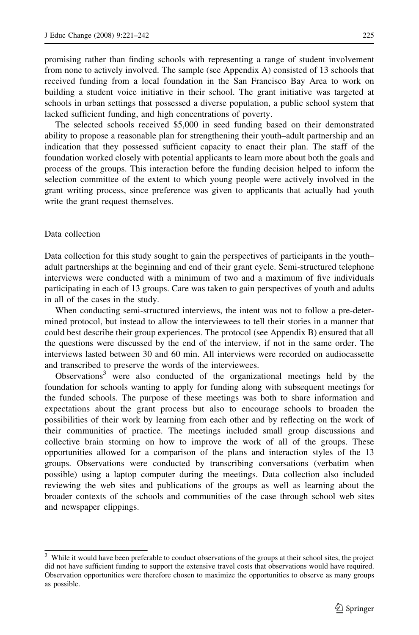promising rather than finding schools with representing a range of student involvement from none to actively involved. The sample (see Appendix A) consisted of 13 schools that received funding from a local foundation in the San Francisco Bay Area to work on building a student voice initiative in their school. The grant initiative was targeted at schools in urban settings that possessed a diverse population, a public school system that lacked sufficient funding, and high concentrations of poverty.

The selected schools received \$5,000 in seed funding based on their demonstrated ability to propose a reasonable plan for strengthening their youth–adult partnership and an indication that they possessed sufficient capacity to enact their plan. The staff of the foundation worked closely with potential applicants to learn more about both the goals and process of the groups. This interaction before the funding decision helped to inform the selection committee of the extent to which young people were actively involved in the grant writing process, since preference was given to applicants that actually had youth write the grant request themselves.

### Data collection

Data collection for this study sought to gain the perspectives of participants in the youth– adult partnerships at the beginning and end of their grant cycle. Semi-structured telephone interviews were conducted with a minimum of two and a maximum of five individuals participating in each of 13 groups. Care was taken to gain perspectives of youth and adults in all of the cases in the study.

When conducting semi-structured interviews, the intent was not to follow a pre-determined protocol, but instead to allow the interviewees to tell their stories in a manner that could best describe their group experiences. The protocol (see Appendix B) ensured that all the questions were discussed by the end of the interview, if not in the same order. The interviews lasted between 30 and 60 min. All interviews were recorded on audiocassette and transcribed to preserve the words of the interviewees.

Observations<sup>3</sup> were also conducted of the organizational meetings held by the foundation for schools wanting to apply for funding along with subsequent meetings for the funded schools. The purpose of these meetings was both to share information and expectations about the grant process but also to encourage schools to broaden the possibilities of their work by learning from each other and by reflecting on the work of their communities of practice. The meetings included small group discussions and collective brain storming on how to improve the work of all of the groups. These opportunities allowed for a comparison of the plans and interaction styles of the 13 groups. Observations were conducted by transcribing conversations (verbatim when possible) using a laptop computer during the meetings. Data collection also included reviewing the web sites and publications of the groups as well as learning about the broader contexts of the schools and communities of the case through school web sites and newspaper clippings.

While it would have been preferable to conduct observations of the groups at their school sites, the project did not have sufficient funding to support the extensive travel costs that observations would have required. Observation opportunities were therefore chosen to maximize the opportunities to observe as many groups as possible.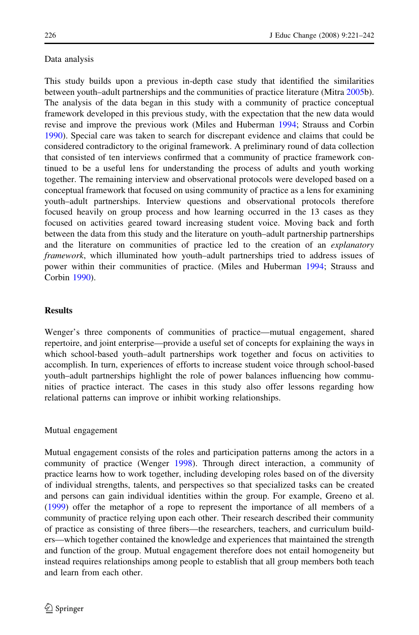# Data analysis

This study builds upon a previous in-depth case study that identified the similarities between youth–adult partnerships and the communities of practice literature (Mitra [2005](#page-20-0)b). The analysis of the data began in this study with a community of practice conceptual framework developed in this previous study, with the expectation that the new data would revise and improve the previous work (Miles and Huberman [1994;](#page-20-0) Strauss and Corbin [1990\)](#page-21-0). Special care was taken to search for discrepant evidence and claims that could be considered contradictory to the original framework. A preliminary round of data collection that consisted of ten interviews confirmed that a community of practice framework continued to be a useful lens for understanding the process of adults and youth working together. The remaining interview and observational protocols were developed based on a conceptual framework that focused on using community of practice as a lens for examining youth–adult partnerships. Interview questions and observational protocols therefore focused heavily on group process and how learning occurred in the 13 cases as they focused on activities geared toward increasing student voice. Moving back and forth between the data from this study and the literature on youth–adult partnership partnerships and the literature on communities of practice led to the creation of an *explanatory* framework, which illuminated how youth–adult partnerships tried to address issues of power within their communities of practice. (Miles and Huberman [1994;](#page-20-0) Strauss and Corbin [1990](#page-21-0)).

# **Results**

Wenger's three components of communities of practice—mutual engagement, shared repertoire, and joint enterprise—provide a useful set of concepts for explaining the ways in which school-based youth–adult partnerships work together and focus on activities to accomplish. In turn, experiences of efforts to increase student voice through school-based youth–adult partnerships highlight the role of power balances influencing how communities of practice interact. The cases in this study also offer lessons regarding how relational patterns can improve or inhibit working relationships.

### Mutual engagement

Mutual engagement consists of the roles and participation patterns among the actors in a community of practice (Wenger [1998\)](#page-21-0). Through direct interaction, a community of practice learns how to work together, including developing roles based on of the diversity of individual strengths, talents, and perspectives so that specialized tasks can be created and persons can gain individual identities within the group. For example, Greeno et al. ([1999\)](#page-20-0) offer the metaphor of a rope to represent the importance of all members of a community of practice relying upon each other. Their research described their community of practice as consisting of three fibers—the researchers, teachers, and curriculum builders—which together contained the knowledge and experiences that maintained the strength and function of the group. Mutual engagement therefore does not entail homogeneity but instead requires relationships among people to establish that all group members both teach and learn from each other.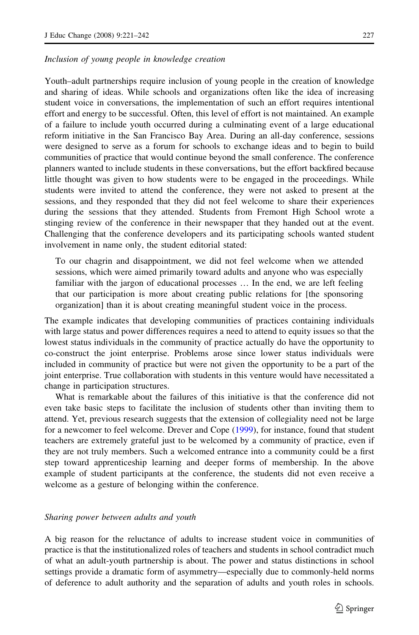Youth–adult partnerships require inclusion of young people in the creation of knowledge and sharing of ideas. While schools and organizations often like the idea of increasing student voice in conversations, the implementation of such an effort requires intentional effort and energy to be successful. Often, this level of effort is not maintained. An example of a failure to include youth occurred during a culminating event of a large educational reform initiative in the San Francisco Bay Area. During an all-day conference, sessions were designed to serve as a forum for schools to exchange ideas and to begin to build communities of practice that would continue beyond the small conference. The conference planners wanted to include students in these conversations, but the effort backfired because little thought was given to how students were to be engaged in the proceedings. While students were invited to attend the conference, they were not asked to present at the sessions, and they responded that they did not feel welcome to share their experiences during the sessions that they attended. Students from Fremont High School wrote a stinging review of the conference in their newspaper that they handed out at the event. Challenging that the conference developers and its participating schools wanted student involvement in name only, the student editorial stated:

To our chagrin and disappointment, we did not feel welcome when we attended sessions, which were aimed primarily toward adults and anyone who was especially familiar with the jargon of educational processes … In the end, we are left feeling that our participation is more about creating public relations for [the sponsoring organization] than it is about creating meaningful student voice in the process.

The example indicates that developing communities of practices containing individuals with large status and power differences requires a need to attend to equity issues so that the lowest status individuals in the community of practice actually do have the opportunity to co-construct the joint enterprise. Problems arose since lower status individuals were included in community of practice but were not given the opportunity to be a part of the joint enterprise. True collaboration with students in this venture would have necessitated a change in participation structures.

What is remarkable about the failures of this initiative is that the conference did not even take basic steps to facilitate the inclusion of students other than inviting them to attend. Yet, previous research suggests that the extension of collegiality need not be large for a newcomer to feel welcome. Drever and Cope ([1999\)](#page-19-0), for instance, found that student teachers are extremely grateful just to be welcomed by a community of practice, even if they are not truly members. Such a welcomed entrance into a community could be a first step toward apprenticeship learning and deeper forms of membership. In the above example of student participants at the conference, the students did not even receive a welcome as a gesture of belonging within the conference.

### Sharing power between adults and youth

A big reason for the reluctance of adults to increase student voice in communities of practice is that the institutionalized roles of teachers and students in school contradict much of what an adult-youth partnership is about. The power and status distinctions in school settings provide a dramatic form of asymmetry—especially due to commonly-held norms of deference to adult authority and the separation of adults and youth roles in schools.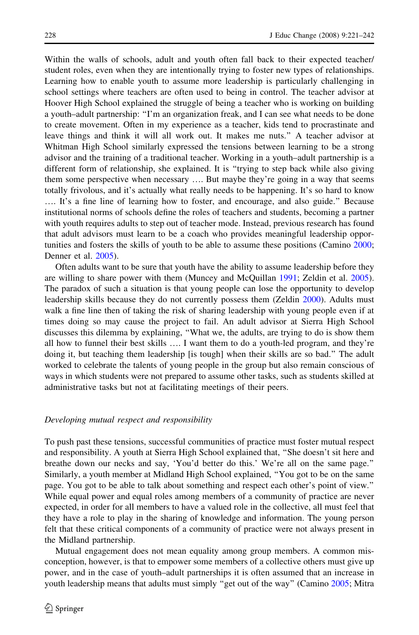Within the walls of schools, adult and youth often fall back to their expected teacher/ student roles, even when they are intentionally trying to foster new types of relationships. Learning how to enable youth to assume more leadership is particularly challenging in school settings where teachers are often used to being in control. The teacher advisor at Hoover High School explained the struggle of being a teacher who is working on building a youth–adult partnership: ''I'm an organization freak, and I can see what needs to be done to create movement. Often in my experience as a teacher, kids tend to procrastinate and leave things and think it will all work out. It makes me nuts.'' A teacher advisor at Whitman High School similarly expressed the tensions between learning to be a strong advisor and the training of a traditional teacher. Working in a youth–adult partnership is a different form of relationship, she explained. It is ''trying to step back while also giving them some perspective when necessary …. But maybe they're going in a way that seems totally frivolous, and it's actually what really needs to be happening. It's so hard to know …. It's a fine line of learning how to foster, and encourage, and also guide.'' Because institutional norms of schools define the roles of teachers and students, becoming a partner with youth requires adults to step out of teacher mode. Instead, previous research has found that adult advisors must learn to be a coach who provides meaningful leadership opportunities and fosters the skills of youth to be able to assume these positions (Camino [2000;](#page-19-0) Denner et al. [2005](#page-19-0)).

Often adults want to be sure that youth have the ability to assume leadership before they are willing to share power with them (Muncey and McQuillan [1991;](#page-20-0) Zeldin et al. [2005](#page-21-0)). The paradox of such a situation is that young people can lose the opportunity to develop leadership skills because they do not currently possess them (Zeldin [2000\)](#page-21-0). Adults must walk a fine line then of taking the risk of sharing leadership with young people even if at times doing so may cause the project to fail. An adult advisor at Sierra High School discusses this dilemma by explaining, ''What we, the adults, are trying to do is show them all how to funnel their best skills …. I want them to do a youth-led program, and they're doing it, but teaching them leadership [is tough] when their skills are so bad.'' The adult worked to celebrate the talents of young people in the group but also remain conscious of ways in which students were not prepared to assume other tasks, such as students skilled at administrative tasks but not at facilitating meetings of their peers.

### Developing mutual respect and responsibility

To push past these tensions, successful communities of practice must foster mutual respect and responsibility. A youth at Sierra High School explained that, ''She doesn't sit here and breathe down our necks and say, 'You'd better do this.' We're all on the same page.'' Similarly, a youth member at Midland High School explained, ''You got to be on the same page. You got to be able to talk about something and respect each other's point of view.'' While equal power and equal roles among members of a community of practice are never expected, in order for all members to have a valued role in the collective, all must feel that they have a role to play in the sharing of knowledge and information. The young person felt that these critical components of a community of practice were not always present in the Midland partnership.

Mutual engagement does not mean equality among group members. A common misconception, however, is that to empower some members of a collective others must give up power, and in the case of youth–adult partnerships it is often assumed that an increase in youth leadership means that adults must simply ''get out of the way'' (Camino [2005](#page-19-0); Mitra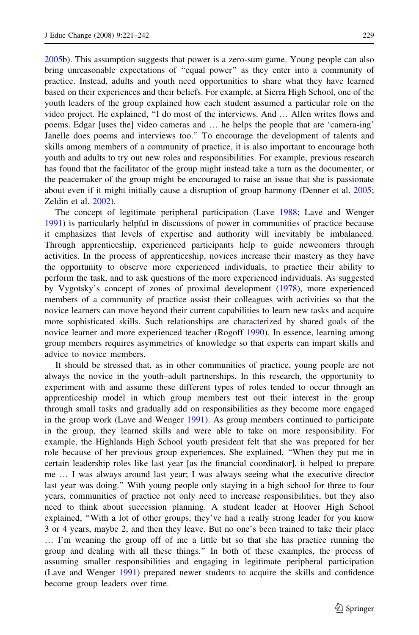[2005b](#page-20-0)). This assumption suggests that power is a zero-sum game. Young people can also bring unreasonable expectations of ''equal power'' as they enter into a community of practice. Instead, adults and youth need opportunities to share what they have learned based on their experiences and their beliefs. For example, at Sierra High School, one of the youth leaders of the group explained how each student assumed a particular role on the video project. He explained, ''I do most of the interviews. And … Allen writes flows and poems. Edgar [uses the] video cameras and … he helps the people that are 'camera-ing' Janelle does poems and interviews too.'' To encourage the development of talents and skills among members of a community of practice, it is also important to encourage both youth and adults to try out new roles and responsibilities. For example, previous research has found that the facilitator of the group might instead take a turn as the documenter, or the peacemaker of the group might be encouraged to raise an issue that she is passionate about even if it might initially cause a disruption of group harmony (Denner et al. [2005;](#page-19-0) Zeldin et al. [2002](#page-21-0)).

The concept of legitimate peripheral participation (Lave [1988;](#page-20-0) Lave and Wenger [1991\)](#page-20-0) is particularly helpful in discussions of power in communities of practice because it emphasizes that levels of expertise and authority will inevitably be imbalanced. Through apprenticeship, experienced participants help to guide newcomers through activities. In the process of apprenticeship, novices increase their mastery as they have the opportunity to observe more experienced individuals, to practice their ability to perform the task, and to ask questions of the more experienced individuals. As suggested by Vygotsky's concept of zones of proximal development ([1978\)](#page-21-0), more experienced members of a community of practice assist their colleagues with activities so that the novice learners can move beyond their current capabilities to learn new tasks and acquire more sophisticated skills. Such relationships are characterized by shared goals of the novice learner and more experienced teacher (Rogoff [1990\)](#page-21-0). In essence, learning among group members requires asymmetries of knowledge so that experts can impart skills and advice to novice members.

It should be stressed that, as in other communities of practice, young people are not always the novice in the youth–adult partnerships. In this research, the opportunity to experiment with and assume these different types of roles tended to occur through an apprenticeship model in which group members test out their interest in the group through small tasks and gradually add on responsibilities as they become more engaged in the group work (Lave and Wenger [1991](#page-20-0)). As group members continued to participate in the group, they learned skills and were able to take on more responsibility. For example, the Highlands High School youth president felt that she was prepared for her role because of her previous group experiences. She explained, ''When they put me in certain leadership roles like last year [as the financial coordinator], it helped to prepare me … I was always around last year; I was always seeing what the executive director last year was doing.'' With young people only staying in a high school for three to four years, communities of practice not only need to increase responsibilities, but they also need to think about succession planning. A student leader at Hoover High School explained, ''With a lot of other groups, they've had a really strong leader for you know 3 or 4 years, maybe 2, and then they leave. But no one's been trained to take their place … I'm weaning the group off of me a little bit so that she has practice running the group and dealing with all these things.'' In both of these examples, the process of assuming smaller responsibilities and engaging in legitimate peripheral participation (Lave and Wenger [1991\)](#page-20-0) prepared newer students to acquire the skills and confidence become group leaders over time.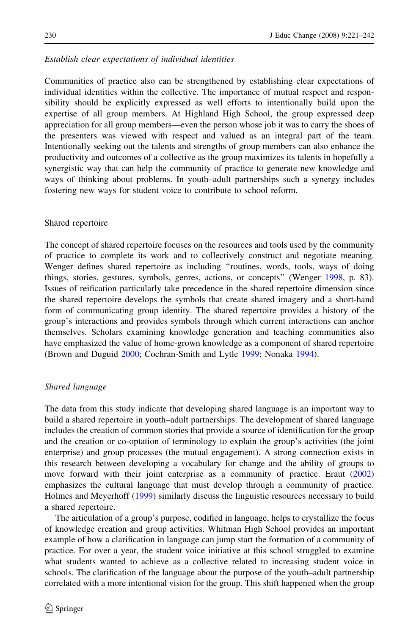### Establish clear expectations of individual identities

Communities of practice also can be strengthened by establishing clear expectations of individual identities within the collective. The importance of mutual respect and responsibility should be explicitly expressed as well efforts to intentionally build upon the expertise of all group members. At Highland High School, the group expressed deep appreciation for all group members—even the person whose job it was to carry the shoes of the presenters was viewed with respect and valued as an integral part of the team. Intentionally seeking out the talents and strengths of group members can also enhance the productivity and outcomes of a collective as the group maximizes its talents in hopefully a synergistic way that can help the community of practice to generate new knowledge and ways of thinking about problems. In youth–adult partnerships such a synergy includes fostering new ways for student voice to contribute to school reform.

#### Shared repertoire

The concept of shared repertoire focuses on the resources and tools used by the community of practice to complete its work and to collectively construct and negotiate meaning. Wenger defines shared repertoire as including ''routines, words, tools, ways of doing things, stories, gestures, symbols, genres, actions, or concepts'' (Wenger [1998,](#page-21-0) p. 83). Issues of reification particularly take precedence in the shared repertoire dimension since the shared repertoire develops the symbols that create shared imagery and a short-hand form of communicating group identity. The shared repertoire provides a history of the group's interactions and provides symbols through which current interactions can anchor themselves. Scholars examining knowledge generation and teaching communities also have emphasized the value of home-grown knowledge as a component of shared repertoire (Brown and Duguid [2000](#page-19-0); Cochran-Smith and Lytle [1999](#page-19-0); Nonaka [1994](#page-21-0)).

# Shared language

The data from this study indicate that developing shared language is an important way to build a shared repertoire in youth–adult partnerships. The development of shared language includes the creation of common stories that provide a source of identification for the group and the creation or co-optation of terminology to explain the group's activities (the joint enterprise) and group processes (the mutual engagement). A strong connection exists in this research between developing a vocabulary for change and the ability of groups to move forward with their joint enterprise as a community of practice. Eraut ([2002](#page-19-0)) emphasizes the cultural language that must develop through a community of practice. Holmes and Meyerhoff ([1999](#page-20-0)) similarly discuss the linguistic resources necessary to build a shared repertoire.

The articulation of a group's purpose, codified in language, helps to crystallize the focus of knowledge creation and group activities. Whitman High School provides an important example of how a clarification in language can jump start the formation of a community of practice. For over a year, the student voice initiative at this school struggled to examine what students wanted to achieve as a collective related to increasing student voice in schools. The clarification of the language about the purpose of the youth–adult partnership correlated with a more intentional vision for the group. This shift happened when the group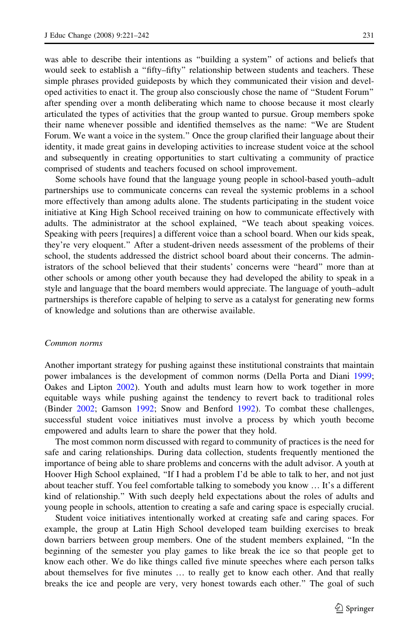was able to describe their intentions as ''building a system'' of actions and beliefs that would seek to establish a ''fifty–fifty'' relationship between students and teachers. These simple phrases provided guideposts by which they communicated their vision and developed activities to enact it. The group also consciously chose the name of ''Student Forum'' after spending over a month deliberating which name to choose because it most clearly articulated the types of activities that the group wanted to pursue. Group members spoke their name whenever possible and identified themselves as the name: ''We are Student Forum. We want a voice in the system.'' Once the group clarified their language about their identity, it made great gains in developing activities to increase student voice at the school and subsequently in creating opportunities to start cultivating a community of practice comprised of students and teachers focused on school improvement.

Some schools have found that the language young people in school-based youth–adult partnerships use to communicate concerns can reveal the systemic problems in a school more effectively than among adults alone. The students participating in the student voice initiative at King High School received training on how to communicate effectively with adults. The administrator at the school explained, ''We teach about speaking voices. Speaking with peers [requires] a different voice than a school board. When our kids speak, they're very eloquent.'' After a student-driven needs assessment of the problems of their school, the students addressed the district school board about their concerns. The administrators of the school believed that their students' concerns were ''heard'' more than at other schools or among other youth because they had developed the ability to speak in a style and language that the board members would appreciate. The language of youth–adult partnerships is therefore capable of helping to serve as a catalyst for generating new forms of knowledge and solutions than are otherwise available.

#### Common norms

Another important strategy for pushing against these institutional constraints that maintain power imbalances is the development of common norms (Della Porta and Diani [1999;](#page-19-0) Oakes and Lipton [2002](#page-21-0)). Youth and adults must learn how to work together in more equitable ways while pushing against the tendency to revert back to traditional roles (Binder [2002](#page-19-0); Gamson [1992;](#page-20-0) Snow and Benford [1992](#page-21-0)). To combat these challenges, successful student voice initiatives must involve a process by which youth become empowered and adults learn to share the power that they hold.

The most common norm discussed with regard to community of practices is the need for safe and caring relationships. During data collection, students frequently mentioned the importance of being able to share problems and concerns with the adult advisor. A youth at Hoover High School explained, ''If I had a problem I'd be able to talk to her, and not just about teacher stuff. You feel comfortable talking to somebody you know … It's a different kind of relationship.'' With such deeply held expectations about the roles of adults and young people in schools, attention to creating a safe and caring space is especially crucial.

Student voice initiatives intentionally worked at creating safe and caring spaces. For example, the group at Latin High School developed team building exercises to break down barriers between group members. One of the student members explained, ''In the beginning of the semester you play games to like break the ice so that people get to know each other. We do like things called five minute speeches where each person talks about themselves for five minutes … to really get to know each other. And that really breaks the ice and people are very, very honest towards each other.'' The goal of such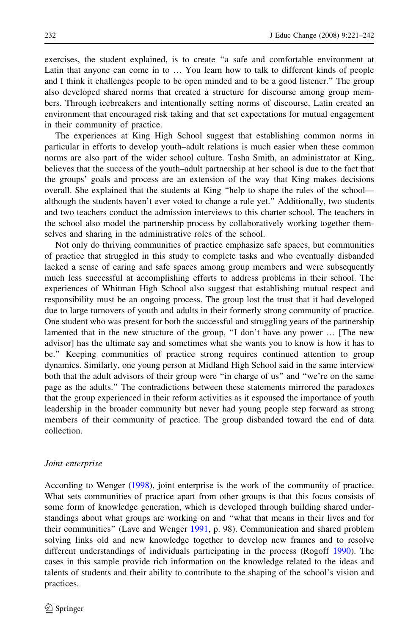exercises, the student explained, is to create ''a safe and comfortable environment at Latin that anyone can come in to … You learn how to talk to different kinds of people and I think it challenges people to be open minded and to be a good listener.'' The group also developed shared norms that created a structure for discourse among group members. Through icebreakers and intentionally setting norms of discourse, Latin created an environment that encouraged risk taking and that set expectations for mutual engagement in their community of practice.

The experiences at King High School suggest that establishing common norms in particular in efforts to develop youth–adult relations is much easier when these common norms are also part of the wider school culture. Tasha Smith, an administrator at King, believes that the success of the youth–adult partnership at her school is due to the fact that the groups' goals and process are an extension of the way that King makes decisions overall. She explained that the students at King ''help to shape the rules of the school although the students haven't ever voted to change a rule yet.'' Additionally, two students and two teachers conduct the admission interviews to this charter school. The teachers in the school also model the partnership process by collaboratively working together themselves and sharing in the administrative roles of the school.

Not only do thriving communities of practice emphasize safe spaces, but communities of practice that struggled in this study to complete tasks and who eventually disbanded lacked a sense of caring and safe spaces among group members and were subsequently much less successful at accomplishing efforts to address problems in their school. The experiences of Whitman High School also suggest that establishing mutual respect and responsibility must be an ongoing process. The group lost the trust that it had developed due to large turnovers of youth and adults in their formerly strong community of practice. One student who was present for both the successful and struggling years of the partnership lamented that in the new structure of the group, "I don't have any power ... [The new advisor] has the ultimate say and sometimes what she wants you to know is how it has to be.'' Keeping communities of practice strong requires continued attention to group dynamics. Similarly, one young person at Midland High School said in the same interview both that the adult advisors of their group were ''in charge of us'' and ''we're on the same page as the adults.'' The contradictions between these statements mirrored the paradoxes that the group experienced in their reform activities as it espoused the importance of youth leadership in the broader community but never had young people step forward as strong members of their community of practice. The group disbanded toward the end of data collection.

### Joint enterprise

According to Wenger ([1998\)](#page-21-0), joint enterprise is the work of the community of practice. What sets communities of practice apart from other groups is that this focus consists of some form of knowledge generation, which is developed through building shared understandings about what groups are working on and ''what that means in their lives and for their communities'' (Lave and Wenger [1991,](#page-20-0) p. 98). Communication and shared problem solving links old and new knowledge together to develop new frames and to resolve different understandings of individuals participating in the process (Rogoff [1990](#page-21-0)). The cases in this sample provide rich information on the knowledge related to the ideas and talents of students and their ability to contribute to the shaping of the school's vision and practices.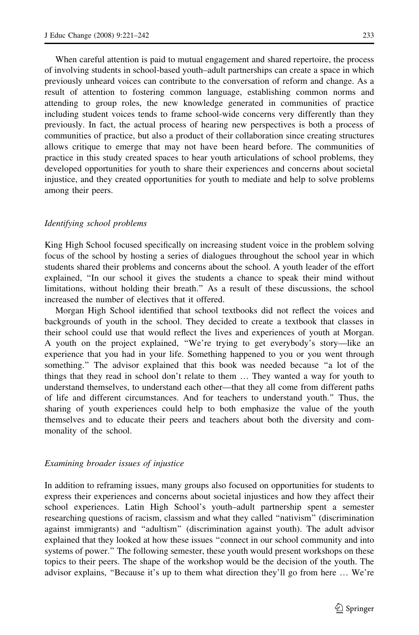When careful attention is paid to mutual engagement and shared repertoire, the process of involving students in school-based youth–adult partnerships can create a space in which previously unheard voices can contribute to the conversation of reform and change. As a result of attention to fostering common language, establishing common norms and attending to group roles, the new knowledge generated in communities of practice including student voices tends to frame school-wide concerns very differently than they previously. In fact, the actual process of hearing new perspectives is both a process of communities of practice, but also a product of their collaboration since creating structures allows critique to emerge that may not have been heard before. The communities of practice in this study created spaces to hear youth articulations of school problems, they developed opportunities for youth to share their experiences and concerns about societal injustice, and they created opportunities for youth to mediate and help to solve problems among their peers.

### Identifying school problems

King High School focused specifically on increasing student voice in the problem solving focus of the school by hosting a series of dialogues throughout the school year in which students shared their problems and concerns about the school. A youth leader of the effort explained, ''In our school it gives the students a chance to speak their mind without limitations, without holding their breath.'' As a result of these discussions, the school increased the number of electives that it offered.

Morgan High School identified that school textbooks did not reflect the voices and backgrounds of youth in the school. They decided to create a textbook that classes in their school could use that would reflect the lives and experiences of youth at Morgan. A youth on the project explained, ''We're trying to get everybody's story—like an experience that you had in your life. Something happened to you or you went through something." The advisor explained that this book was needed because "a lot of the things that they read in school don't relate to them … They wanted a way for youth to understand themselves, to understand each other—that they all come from different paths of life and different circumstances. And for teachers to understand youth.'' Thus, the sharing of youth experiences could help to both emphasize the value of the youth themselves and to educate their peers and teachers about both the diversity and commonality of the school.

#### Examining broader issues of injustice

In addition to reframing issues, many groups also focused on opportunities for students to express their experiences and concerns about societal injustices and how they affect their school experiences. Latin High School's youth–adult partnership spent a semester researching questions of racism, classism and what they called ''nativism'' (discrimination against immigrants) and ''adultism'' (discrimination against youth). The adult advisor explained that they looked at how these issues ''connect in our school community and into systems of power.'' The following semester, these youth would present workshops on these topics to their peers. The shape of the workshop would be the decision of the youth. The advisor explains, ''Because it's up to them what direction they'll go from here … We're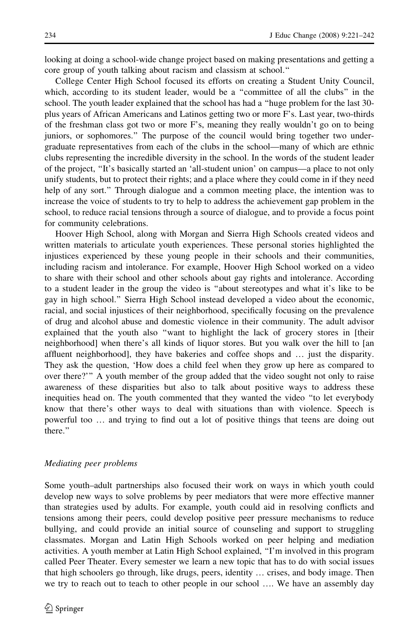looking at doing a school-wide change project based on making presentations and getting a core group of youth talking about racism and classism at school.''

College Center High School focused its efforts on creating a Student Unity Council, which, according to its student leader, would be a ''committee of all the clubs'' in the school. The youth leader explained that the school has had a ''huge problem for the last 30 plus years of African Americans and Latinos getting two or more F's. Last year, two-thirds of the freshman class got two or more F's, meaning they really wouldn't go on to being juniors, or sophomores.'' The purpose of the council would bring together two undergraduate representatives from each of the clubs in the school—many of which are ethnic clubs representing the incredible diversity in the school. In the words of the student leader of the project, ''It's basically started an 'all-student union' on campus—a place to not only unify students, but to protect their rights; and a place where they could come in if they need help of any sort.'' Through dialogue and a common meeting place, the intention was to increase the voice of students to try to help to address the achievement gap problem in the school, to reduce racial tensions through a source of dialogue, and to provide a focus point for community celebrations.

Hoover High School, along with Morgan and Sierra High Schools created videos and written materials to articulate youth experiences. These personal stories highlighted the injustices experienced by these young people in their schools and their communities, including racism and intolerance. For example, Hoover High School worked on a video to share with their school and other schools about gay rights and intolerance. According to a student leader in the group the video is ''about stereotypes and what it's like to be gay in high school.'' Sierra High School instead developed a video about the economic, racial, and social injustices of their neighborhood, specifically focusing on the prevalence of drug and alcohol abuse and domestic violence in their community. The adult advisor explained that the youth also ''want to highlight the lack of grocery stores in [their neighborhood] when there's all kinds of liquor stores. But you walk over the hill to [an affluent neighborhood], they have bakeries and coffee shops and … just the disparity. They ask the question, 'How does a child feel when they grow up here as compared to over there?''' A youth member of the group added that the video sought not only to raise awareness of these disparities but also to talk about positive ways to address these inequities head on. The youth commented that they wanted the video ''to let everybody know that there's other ways to deal with situations than with violence. Speech is powerful too … and trying to find out a lot of positive things that teens are doing out there.''

### Mediating peer problems

Some youth–adult partnerships also focused their work on ways in which youth could develop new ways to solve problems by peer mediators that were more effective manner than strategies used by adults. For example, youth could aid in resolving conflicts and tensions among their peers, could develop positive peer pressure mechanisms to reduce bullying, and could provide an initial source of counseling and support to struggling classmates. Morgan and Latin High Schools worked on peer helping and mediation activities. A youth member at Latin High School explained, ''I'm involved in this program called Peer Theater. Every semester we learn a new topic that has to do with social issues that high schoolers go through, like drugs, peers, identity … crises, and body image. Then we try to reach out to teach to other people in our school …. We have an assembly day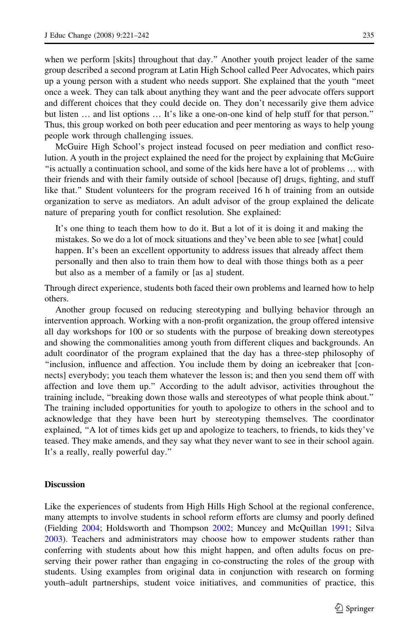when we perform [skits] throughout that day.'' Another youth project leader of the same group described a second program at Latin High School called Peer Advocates, which pairs up a young person with a student who needs support. She explained that the youth ''meet once a week. They can talk about anything they want and the peer advocate offers support and different choices that they could decide on. They don't necessarily give them advice but listen … and list options … It's like a one-on-one kind of help stuff for that person.'' Thus, this group worked on both peer education and peer mentoring as ways to help young people work through challenging issues.

McGuire High School's project instead focused on peer mediation and conflict resolution. A youth in the project explained the need for the project by explaining that McGuire ''is actually a continuation school, and some of the kids here have a lot of problems … with their friends and with their family outside of school [because of] drugs, fighting, and stuff like that.'' Student volunteers for the program received 16 h of training from an outside organization to serve as mediators. An adult advisor of the group explained the delicate nature of preparing youth for conflict resolution. She explained:

It's one thing to teach them how to do it. But a lot of it is doing it and making the mistakes. So we do a lot of mock situations and they've been able to see [what] could happen. It's been an excellent opportunity to address issues that already affect them personally and then also to train them how to deal with those things both as a peer but also as a member of a family or [as a] student.

Through direct experience, students both faced their own problems and learned how to help others.

Another group focused on reducing stereotyping and bullying behavior through an intervention approach. Working with a non-profit organization, the group offered intensive all day workshops for 100 or so students with the purpose of breaking down stereotypes and showing the commonalities among youth from different cliques and backgrounds. An adult coordinator of the program explained that the day has a three-step philosophy of ''inclusion, influence and affection. You include them by doing an icebreaker that [connects] everybody; you teach them whatever the lesson is; and then you send them off with affection and love them up.'' According to the adult advisor, activities throughout the training include, ''breaking down those walls and stereotypes of what people think about.'' The training included opportunities for youth to apologize to others in the school and to acknowledge that they have been hurt by stereotyping themselves. The coordinator explained, ''A lot of times kids get up and apologize to teachers, to friends, to kids they've teased. They make amends, and they say what they never want to see in their school again. It's a really, really powerful day.''

### **Discussion**

Like the experiences of students from High Hills High School at the regional conference, many attempts to involve students in school reform efforts are clumsy and poorly defined (Fielding [2004;](#page-19-0) Holdsworth and Thompson [2002;](#page-20-0) Muncey and McQuillan [1991](#page-20-0); Silva [2003\)](#page-21-0). Teachers and administrators may choose how to empower students rather than conferring with students about how this might happen, and often adults focus on preserving their power rather than engaging in co-constructing the roles of the group with students. Using examples from original data in conjunction with research on forming youth–adult partnerships, student voice initiatives, and communities of practice, this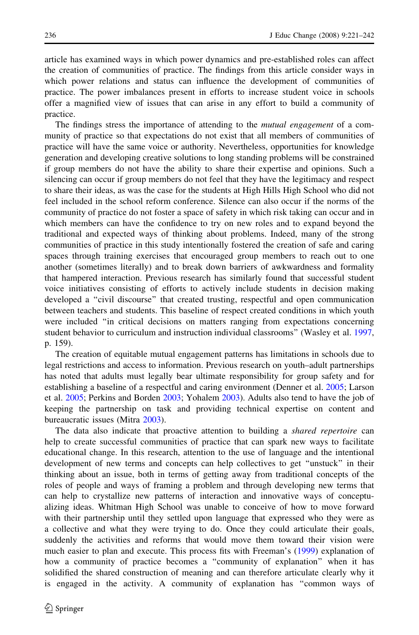article has examined ways in which power dynamics and pre-established roles can affect the creation of communities of practice. The findings from this article consider ways in which power relations and status can influence the development of communities of practice. The power imbalances present in efforts to increase student voice in schools offer a magnified view of issues that can arise in any effort to build a community of practice.

The findings stress the importance of attending to the *mutual engagement* of a community of practice so that expectations do not exist that all members of communities of practice will have the same voice or authority. Nevertheless, opportunities for knowledge generation and developing creative solutions to long standing problems will be constrained if group members do not have the ability to share their expertise and opinions. Such a silencing can occur if group members do not feel that they have the legitimacy and respect to share their ideas, as was the case for the students at High Hills High School who did not feel included in the school reform conference. Silence can also occur if the norms of the community of practice do not foster a space of safety in which risk taking can occur and in which members can have the confidence to try on new roles and to expand beyond the traditional and expected ways of thinking about problems. Indeed, many of the strong communities of practice in this study intentionally fostered the creation of safe and caring spaces through training exercises that encouraged group members to reach out to one another (sometimes literally) and to break down barriers of awkwardness and formality that hampered interaction. Previous research has similarly found that successful student voice initiatives consisting of efforts to actively include students in decision making developed a ''civil discourse'' that created trusting, respectful and open communication between teachers and students. This baseline of respect created conditions in which youth were included ''in critical decisions on matters ranging from expectations concerning student behavior to curriculum and instruction individual classrooms'' (Wasley et al. [1997](#page-21-0), p. 159).

The creation of equitable mutual engagement patterns has limitations in schools due to legal restrictions and access to information. Previous research on youth–adult partnerships has noted that adults must legally bear ultimate responsibility for group safety and for establishing a baseline of a respectful and caring environment (Denner et al. [2005;](#page-19-0) Larson et al. [2005;](#page-20-0) Perkins and Borden [2003;](#page-21-0) Yohalem [2003\)](#page-21-0). Adults also tend to have the job of keeping the partnership on task and providing technical expertise on content and bureaucratic issues (Mitra [2003\)](#page-20-0).

The data also indicate that proactive attention to building a shared repertoire can help to create successful communities of practice that can spark new ways to facilitate educational change. In this research, attention to the use of language and the intentional development of new terms and concepts can help collectives to get ''unstuck'' in their thinking about an issue, both in terms of getting away from traditional concepts of the roles of people and ways of framing a problem and through developing new terms that can help to crystallize new patterns of interaction and innovative ways of conceptualizing ideas. Whitman High School was unable to conceive of how to move forward with their partnership until they settled upon language that expressed who they were as a collective and what they were trying to do. Once they could articulate their goals, suddenly the activities and reforms that would move them toward their vision were much easier to plan and execute. This process fits with Freeman's ([1999\)](#page-19-0) explanation of how a community of practice becomes a ''community of explanation'' when it has solidified the shared construction of meaning and can therefore articulate clearly why it is engaged in the activity. A community of explanation has ''common ways of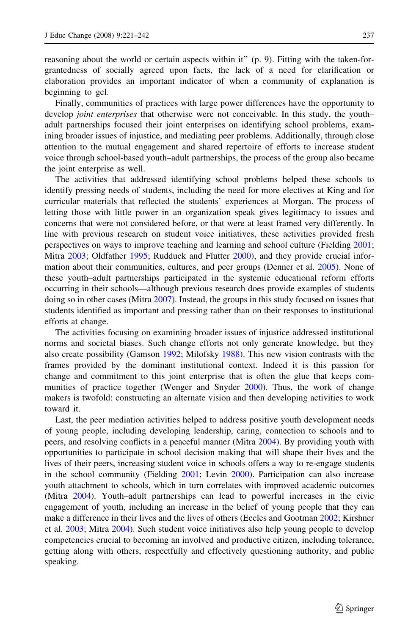reasoning about the world or certain aspects within it'' (p. 9). Fitting with the taken-forgrantedness of socially agreed upon facts, the lack of a need for clarification or elaboration provides an important indicator of when a community of explanation is beginning to gel.

Finally, communities of practices with large power differences have the opportunity to develop *joint enterprises* that otherwise were not conceivable. In this study, the youth– adult partnerships focused their joint enterprises on identifying school problems, examining broader issues of injustice, and mediating peer problems. Additionally, through close attention to the mutual engagement and shared repertoire of efforts to increase student voice through school-based youth–adult partnerships, the process of the group also became the joint enterprise as well.

The activities that addressed identifying school problems helped these schools to identify pressing needs of students, including the need for more electives at King and for curricular materials that reflected the students' experiences at Morgan. The process of letting those with little power in an organization speak gives legitimacy to issues and concerns that were not considered before, or that were at least framed very differently. In line with previous research on student voice initiatives, these activities provided fresh perspectives on ways to improve teaching and learning and school culture (Fielding [2001;](#page-19-0) Mitra [2003](#page-20-0); Oldfather [1995;](#page-21-0) Rudduck and Flutter [2000](#page-21-0)), and they provide crucial information about their communities, cultures, and peer groups (Denner et al. [2005](#page-19-0)). None of these youth–adult partnerships participated in the systemic educational reform efforts occurring in their schools—although previous research does provide examples of students doing so in other cases (Mitra [2007](#page-20-0)). Instead, the groups in this study focused on issues that students identified as important and pressing rather than on their responses to institutional efforts at change.

The activities focusing on examining broader issues of injustice addressed institutional norms and societal biases. Such change efforts not only generate knowledge, but they also create possibility (Gamson [1992;](#page-20-0) Milofsky [1988\)](#page-20-0). This new vision contrasts with the frames provided by the dominant institutional context. Indeed it is this passion for change and commitment to this joint enterprise that is often the glue that keeps com-munities of practice together (Wenger and Snyder [2000\)](#page-21-0). Thus, the work of change makers is twofold: constructing an alternate vision and then developing activities to work toward it.

Last, the peer mediation activities helped to address positive youth development needs of young people, including developing leadership, caring, connection to schools and to peers, and resolving conflicts in a peaceful manner (Mitra [2004\)](#page-20-0). By providing youth with opportunities to participate in school decision making that will shape their lives and the lives of their peers, increasing student voice in schools offers a way to re-engage students in the school community (Fielding [2001](#page-19-0); Levin [2000\)](#page-20-0). Participation can also increase youth attachment to schools, which in turn correlates with improved academic outcomes (Mitra [2004](#page-20-0)). Youth–adult partnerships can lead to powerful increases in the civic engagement of youth, including an increase in the belief of young people that they can make a difference in their lives and the lives of others (Eccles and Gootman [2002;](#page-19-0) Kirshner et al. [2003;](#page-20-0) Mitra [2004](#page-20-0)). Such student voice initiatives also help young people to develop competencies crucial to becoming an involved and productive citizen, including tolerance, getting along with others, respectfully and effectively questioning authority, and public speaking.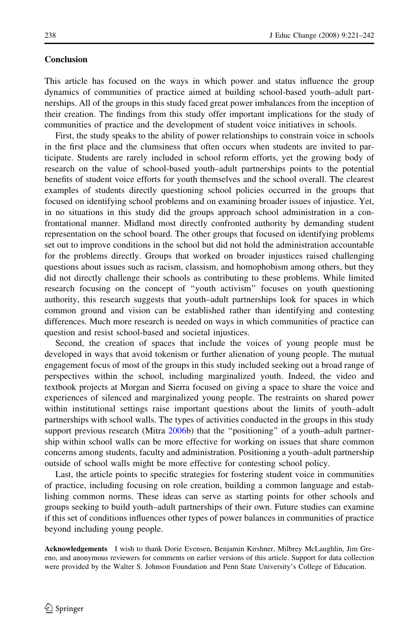### Conclusion

This article has focused on the ways in which power and status influence the group dynamics of communities of practice aimed at building school-based youth–adult partnerships. All of the groups in this study faced great power imbalances from the inception of their creation. The findings from this study offer important implications for the study of communities of practice and the development of student voice initiatives in schools.

First, the study speaks to the ability of power relationships to constrain voice in schools in the first place and the clumsiness that often occurs when students are invited to participate. Students are rarely included in school reform efforts, yet the growing body of research on the value of school-based youth–adult partnerships points to the potential benefits of student voice efforts for youth themselves and the school overall. The clearest examples of students directly questioning school policies occurred in the groups that focused on identifying school problems and on examining broader issues of injustice. Yet, in no situations in this study did the groups approach school administration in a confrontational manner. Midland most directly confronted authority by demanding student representation on the school board. The other groups that focused on identifying problems set out to improve conditions in the school but did not hold the administration accountable for the problems directly. Groups that worked on broader injustices raised challenging questions about issues such as racism, classism, and homophobism among others, but they did not directly challenge their schools as contributing to these problems. While limited research focusing on the concept of ''youth activism'' focuses on youth questioning authority, this research suggests that youth–adult partnerships look for spaces in which common ground and vision can be established rather than identifying and contesting differences. Much more research is needed on ways in which communities of practice can question and resist school-based and societal injustices.

Second, the creation of spaces that include the voices of young people must be developed in ways that avoid tokenism or further alienation of young people. The mutual engagement focus of most of the groups in this study included seeking out a broad range of perspectives within the school, including marginalized youth. Indeed, the video and textbook projects at Morgan and Sierra focused on giving a space to share the voice and experiences of silenced and marginalized young people. The restraints on shared power within institutional settings raise important questions about the limits of youth–adult partnerships with school walls. The types of activities conducted in the groups in this study support previous research (Mitra [2006b](#page-20-0)) that the "positioning" of a youth–adult partnership within school walls can be more effective for working on issues that share common concerns among students, faculty and administration. Positioning a youth–adult partnership outside of school walls might be more effective for contesting school policy.

Last, the article points to specific strategies for fostering student voice in communities of practice, including focusing on role creation, building a common language and establishing common norms. These ideas can serve as starting points for other schools and groups seeking to build youth–adult partnerships of their own. Future studies can examine if this set of conditions influences other types of power balances in communities of practice beyond including young people.

Acknowledgements I wish to thank Dorie Evensen, Benjamin Kirshner, Milbrey McLaughlin, Jim Greeno, and anonymous reviewers for comments on earlier versions of this article. Support for data collection were provided by the Walter S. Johnson Foundation and Penn State University's College of Education.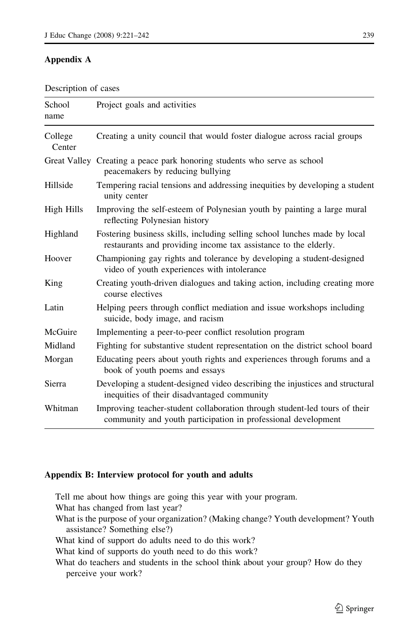## Appendix A

Description of cases

| School<br>name    | Project goals and activities                                                                                                                 |
|-------------------|----------------------------------------------------------------------------------------------------------------------------------------------|
| College<br>Center | Creating a unity council that would foster dialogue across racial groups                                                                     |
|                   | Great Valley Creating a peace park honoring students who serve as school<br>peacemakers by reducing bullying                                 |
| Hillside          | Tempering racial tensions and addressing inequities by developing a student<br>unity center                                                  |
| High Hills        | Improving the self-esteem of Polynesian youth by painting a large mural<br>reflecting Polynesian history                                     |
| Highland          | Fostering business skills, including selling school lunches made by local<br>restaurants and providing income tax assistance to the elderly. |
| Hoover            | Championing gay rights and tolerance by developing a student-designed<br>video of youth experiences with intolerance                         |
| King              | Creating youth-driven dialogues and taking action, including creating more<br>course electives                                               |
| Latin             | Helping peers through conflict mediation and issue workshops including<br>suicide, body image, and racism                                    |
| McGuire           | Implementing a peer-to-peer conflict resolution program                                                                                      |
| Midland           | Fighting for substantive student representation on the district school board                                                                 |
| Morgan            | Educating peers about youth rights and experiences through forums and a<br>book of youth poems and essays                                    |
| Sierra            | Developing a student-designed video describing the injustices and structural<br>inequities of their disadvantaged community                  |
| Whitman           | Improving teacher-student collaboration through student-led tours of their<br>community and youth participation in professional development  |

### Appendix B: Interview protocol for youth and adults

Tell me about how things are going this year with your program.

- What has changed from last year?
- What is the purpose of your organization? (Making change? Youth development? Youth assistance? Something else?)
- What kind of support do adults need to do this work?
- What kind of supports do youth need to do this work?
- What do teachers and students in the school think about your group? How do they perceive your work?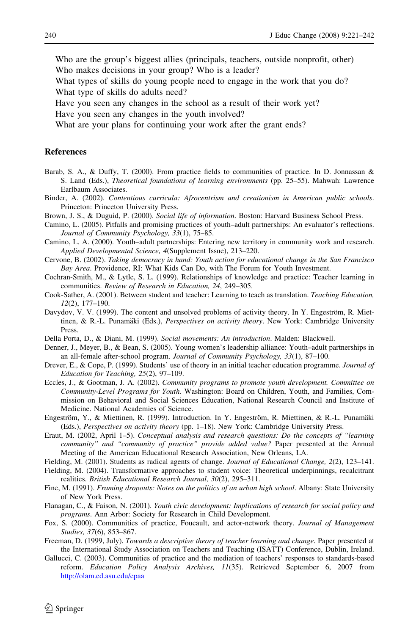<span id="page-19-0"></span>Who are the group's biggest allies (principals, teachers, outside nonprofit, other) Who makes decisions in your group? Who is a leader?

What types of skills do young people need to engage in the work that you do? What type of skills do adults need?

Have you seen any changes in the school as a result of their work yet?

Have you seen any changes in the youth involved?

What are your plans for continuing your work after the grant ends?

### References

- Barab, S. A., & Duffy, T. (2000). From practice fields to communities of practice. In D. Jonnassan & S. Land (Eds.), Theoretical foundations of learning environments (pp. 25–55). Mahwah: Lawrence Earlbaum Associates.
- Binder, A. (2002). Contentious curricula: Afrocentrism and creationism in American public schools. Princeton: Princeton University Press.
- Brown, J. S., & Duguid, P. (2000). Social life of information. Boston: Harvard Business School Press.
- Camino, L. (2005). Pitfalls and promising practices of youth–adult partnerships: An evaluator's reflections. Journal of Community Psychology, 33(1), 75–85.
- Camino, L. A. (2000). Youth–adult partnerships: Entering new territory in community work and research. Applied Developmental Science, 4(Supplement Issue), 213–220.
- Cervone, B. (2002). Taking democracy in hand: Youth action for educational change in the San Francisco Bay Area. Providence, RI: What Kids Can Do, with The Forum for Youth Investment.

Cochran-Smith, M., & Lytle, S. L. (1999). Relationships of knowledge and practice: Teacher learning in communities. Review of Research in Education, 24, 249–305.

Cook-Sather, A. (2001). Between student and teacher: Learning to teach as translation. Teaching Education, 12(2), 177–190.

- Davydov, V. V. (1999). The content and unsolved problems of activity theory. In Y. Engeström, R. Miettinen, & R.-L. Punamäki (Eds.), *Perspectives on activity theory*. New York: Cambridge University Press.
- Della Porta, D., & Diani, M. (1999). Social movements: An introduction. Malden: Blackwell.
- Denner, J., Meyer, B., & Bean, S. (2005). Young women's leadership alliance: Youth–adult partnerships in an all-female after-school program. Journal of Community Psychology, 33(1), 87–100.
- Drever, E., & Cope, P. (1999). Students' use of theory in an initial teacher education programme. Journal of Education for Teaching, 25(2), 97–109.
- Eccles, J., & Gootman, J. A. (2002). Community programs to promote youth development. Committee on Community-Level Programs for Youth. Washington: Board on Children, Youth, and Families, Commission on Behavioral and Social Sciences Education, National Research Council and Institute of Medicine. National Academies of Science.
- Engeström, Y., & Miettinen, R. (1999). Introduction. In Y. Engeström, R. Miettinen, & R.-L. Punamäki (Eds.), Perspectives on activity theory (pp. 1–18). New York: Cambridge University Press.
- Eraut, M. (2002, April 1–5). Conceptual analysis and research questions: Do the concepts of ''learning community'' and ''community of practice'' provide added value? Paper presented at the Annual Meeting of the American Educational Research Association, New Orleans, LA.
- Fielding, M. (2001). Students as radical agents of change. Journal of Educational Change, 2(2), 123–141.
- Fielding, M. (2004). Transformative approaches to student voice: Theoretical underpinnings, recalcitrant realities. British Educational Research Journal, 30(2), 295–311.
- Fine, M. (1991). *Framing dropouts: Notes on the politics of an urban high school.* Albany: State University of New York Press.
- Flanagan, C., & Faison, N. (2001). Youth civic development: Implications of research for social policy and programs. Ann Arbor: Society for Research in Child Development.
- Fox, S. (2000). Communities of practice, Foucault, and actor-network theory. Journal of Management Studies, 37(6), 853–867.
- Freeman, D. (1999, July). Towards a descriptive theory of teacher learning and change. Paper presented at the International Study Association on Teachers and Teaching (ISATT) Conference, Dublin, Ireland.
- Gallucci, C. (2003). Communities of practice and the mediation of teachers' responses to standards-based reform. Education Policy Analysis Archives, 11(35). Retrieved September 6, 2007 from <http://olam.ed.asu.edu/epaa>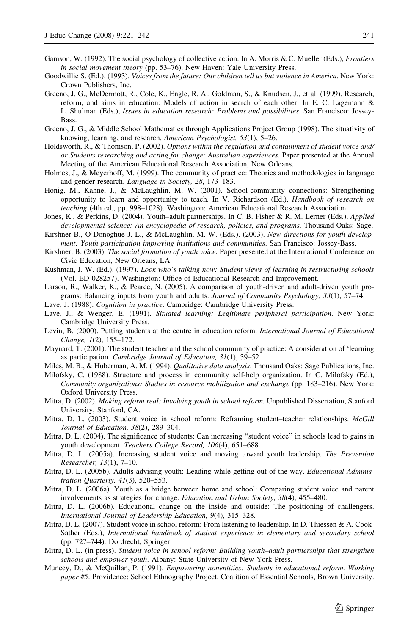- <span id="page-20-0"></span>Gamson, W. (1992). The social psychology of collective action. In A. Morris & C. Mueller (Eds.), Frontiers in social movement theory (pp. 53–76). New Haven: Yale University Press.
- Goodwillie S. (Ed.). (1993). Voices from the future: Our children tell us but violence in America. New York: Crown Publishers, Inc.
- Greeno, J. G., McDermott, R., Cole, K., Engle, R. A., Goldman, S., & Knudsen, J., et al. (1999). Research, reform, and aims in education: Models of action in search of each other. In E. C. Lagemann & L. Shulman (Eds.), Issues in education research: Problems and possibilities. San Francisco: Jossey-Bass.
- Greeno, J. G., & Middle School Mathematics through Applications Project Group (1998). The situativity of knowing, learning, and research. American Psychologist, 53(1), 5–26.
- Holdsworth, R., & Thomson, P. (2002). Options within the regulation and containment of student voice and/ or Students researching and acting for change: Australian experiences. Paper presented at the Annual Meeting of the American Educational Research Association, New Orleans.
- Holmes, J., & Meyerhoff, M. (1999). The community of practice: Theories and methodologies in language and gender research. Language in Society, 28, 173–183.
- Honig, M., Kahne, J., & McLaughlin, M. W. (2001). School-community connections: Strengthening opportunity to learn and opportunity to teach. In V. Richardson (Ed.), Handbook of research on teaching (4th ed., pp. 998–1028). Washington: American Educational Research Association.
- Jones, K., & Perkins, D. (2004). Youth–adult partnerships. In C. B. Fisher & R. M. Lerner (Eds.), Applied developmental science: An encyclopedia of research, policies, and programs. Thousand Oaks: Sage.
- Kirshner B., O'Donoghue J. L., & McLaughlin, M. W. (Eds.). (2003). New directions for youth development: Youth participation improving institutions and communities. San Francisco: Jossey-Bass.
- Kirshner, B. (2003). *The social formation of youth voice*. Paper presented at the International Conference on Civic Education, New Orleans, LA.
- Kushman, J. W. (Ed.). (1997). Look who's talking now: Student views of learning in restructuring schools (Vol. ED 028257). Washington: Office of Educational Research and Improvement.
- Larson, R., Walker, K., & Pearce, N. (2005). A comparison of youth-driven and adult-driven youth programs: Balancing inputs from youth and adults. Journal of Community Psychology, 33(1), 57–74.
- Lave, J. (1988). Cognition in practice. Cambridge: Cambridge University Press.
- Lave, J., & Wenger, E. (1991). Situated learning: Legitimate peripheral participation. New York: Cambridge University Press.
- Levin, B. (2000). Putting students at the centre in education reform. International Journal of Educational Change, 1(2), 155–172.
- Maynard, T. (2001). The student teacher and the school community of practice: A consideration of 'learning as participation. Cambridge Journal of Education, 31(1), 39–52.
- Miles, M. B., & Huberman, A. M. (1994). Qualitative data analysis. Thousand Oaks: Sage Publications, Inc.
- Milofsky, C. (1988). Structure and process in community self-help organization. In C. Milofsky (Ed.), Community organizations: Studies in resource mobilization and exchange (pp. 183–216). New York: Oxford University Press.
- Mitra, D. (2002). Making reform real: Involving youth in school reform. Unpublished Dissertation, Stanford University, Stanford, CA.
- Mitra, D. L. (2003). Student voice in school reform: Reframing student–teacher relationships. McGill Journal of Education, 38(2), 289–304.
- Mitra, D. L. (2004). The significance of students: Can increasing ''student voice'' in schools lead to gains in youth development. Teachers College Record, 106(4), 651–688.
- Mitra, D. L. (2005a). Increasing student voice and moving toward youth leadership. The Prevention Researcher, 13(1), 7–10.
- Mitra, D. L. (2005b). Adults advising youth: Leading while getting out of the way. Educational Administration Quarterly, 41(3), 520–553.
- Mitra, D. L. (2006a). Youth as a bridge between home and school: Comparing student voice and parent involvements as strategies for change. Education and Urban Society, 38(4), 455–480.
- Mitra, D. L. (2006b). Educational change on the inside and outside: The positioning of challengers. International Journal of Leadership Education, 9(4), 315–328.
- Mitra, D. L. (2007). Student voice in school reform: From listening to leadership. In D. Thiessen & A. Cook-Sather (Eds.), International handbook of student experience in elementary and secondary school (pp. 727–744). Dordrecht, Springer.
- Mitra, D. L. (in press). Student voice in school reform: Building youth–adult partnerships that strengthen schools and empower youth. Albany: State University of New York Press.
- Muncey, D., & McQuillan, P. (1991). *Empowering nonentities: Students in educational reform. Working* paper #5. Providence: School Ethnography Project, Coalition of Essential Schools, Brown University.